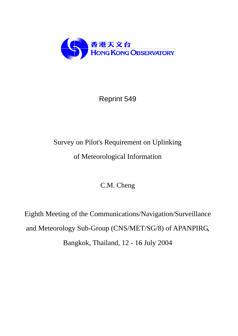

# Reprint 549

# Survey on Pilot's Requirement on Uplinking of Meteorological Information

C.M. Cheng

Eighth Meeting of the Communications/Navigation/Surveillance and Meteorology Sub-Group (CNS/MET/SG/8) of APANPIRG, Bangkok, Thailand, 12 - 16 July 2004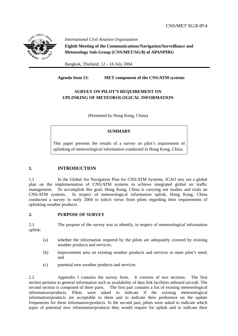

 *International Civil Aviation Organization* **Eighth Meeting of the Communications/Navigation/Surveillance and Meteorology Sub-Group (CNS/MET/SG/8) of APANPIRG**

Bangkok, Thailand, 12 – 16 July 2004

**Agenda Item 13: MET component of the CNS/ATM systems** 

# **SURVEY ON PILOT'S REQUIREMENT ON UPLINKING OF METEOROLOGICAL INFORMATION**

(Presented by Hong Kong, China)

### **SUMMARY**

This paper presents the results of a survey on pilot's requirement of uplinking of meteorological information conducted in Hong Kong, China.

# **1. INTRODUCTION**

1.1 In the Global Air Navigation Plan for CNS/ATM Systems, ICAO sets out a global plan on the implementation of CNS/ATM systems to achieve integrated global air traffic management. To accomplish this goal, Hong Kong, China is carrying out studies and trials on CNS/ATM systems. In respect of meteorological information uplink, Hong Kong, China conducted a survey in early 2004 to solicit views from pilots regarding their requirements of uplinking weather products.

#### **2. PURPOSE OF SURVEY**

2.1 The purpose of the survey was to identify, in respect of meteorological information uplink:

- (a) whether the information required by the pilots are adequately covered by existing weather products and services;
- (b) improvement area on existing weather products and services to meet pilot's need; and
- (c) potential new weather products and services.

2.2 Appendix I contains the survey form. It consists of two sections. The first section pertains to general information such as availability of data link facilities onboard aircraft. The second section is composed of three parts. The first part contains a list of existing meteorological information/products. Pilots were asked to indicate if the existing meteorological information/products are acceptable to them and to indicate their preference on the update frequencies for these information/products. In the second part, pilots were asked to indicate which types of potential new information/products they would require for uplink and to indicate their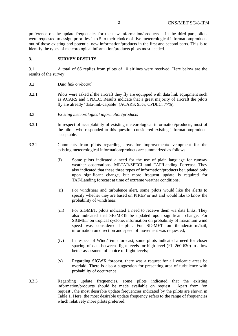preference on the update frequencies for the new information/products. In the third part, pilots were requested to assign priorities 1 to 5 to their choice of five meteorological information/products out of those existing and potential new information/products in the first and second parts. This is to identify the types of meteorological information/products pilots most needed.

#### **3. SURVEY RESULTS**

3.1 A total of 66 replies from pilots of 10 airlines were received. Here below are the results of the survey:

- 3.2 *Data link on-board*
- 3.2.1 Pilots were asked if the aircraft they fly are equipped with data link equipment such as ACARS and CPDLC. Results indicate that a great majority of aircraft the pilots fly are already 'data-link-capable' (ACARS: 95%, CPDLC: 77%).
- 3.3 *Existing meteorological information/products*
- 3.3.1 In respect of acceptability of existing meteorological information/products, most of the pilots who responded to this question considered existing information/products acceptable.
- 3.3.2 Comments from pilots regarding areas for improvement/development for the existing meteorological information/products are summarized as follows:
	- (i) Some pilots indicated a need for the use of plain language for runway weather observations, METAR/SPECI and TAF/Landing Forecast. They also indicated that these three types of information/products be updated only upon significant change, but more frequent update is required for TAF/Landing forecast at time of extreme weather conditions;
	- (ii) For windshear and turbulence alert, some pilots would like the alerts to specify whether they are based on PIREP or not and would like to know the probability of windshear;
	- (iii) For SIGMET, pilots indicated a need to receive them via data links. They also indicated that SIGMETs be updated upon significant change. For SIGMET on tropical cyclone, information on probability of maximum wind speed was considered helpful. For SIGMET on thunderstorm/hail, information on direction and speed of movement was requested;
	- (iv) In respect of Wind/Temp forecast, some pilots indicated a need for closer spacing of data between flight levels for high level (FL 260-630) to allow better assessment of choice of flight levels;
	- (v) Regarding SIGWX forecast, there was a request for all volcanic areas be overlaid. There is also a suggestion for presenting area of turbulence with probability of occurrence.
- 3.3.3 Regarding update frequencies, some pilots indicated that the existing information/products should be made available on request. Apart from 'on request', the most desirable update frequencies indicated by the pilots are shown in Table 1. Here, the most desirable update frequency refers to the range of frequencies which relatively more pilots preferred.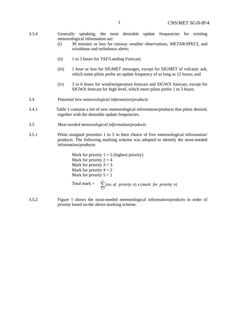- 3.3.4 Generally speaking, the most desirable update frequencies for existing meteorological information are:
	- (i) 30 minutes or less for runway weather observations, METAR/SPECI, and windshear and turbulence alerts;
	- (ii) 1 to 3 hours for TAF/Landing Forecast;
	- (iii) 1 hour or less for SIGMET messages, except for SIGMET of volcanic ash, which some pilots prefer an update frequency of as long as 12 hours; and
	- (iv) 3 to 6 hours for wind/temperature forecast and SIGWX forecast, except for SIGWX forecast for high level, which more pilots prefer 1 to 3 hours.
- 3.4 *Potential new meteorological information/products*
- 3.4.1 Table 1 contains a list of new meteorological information/products that pilots desired, together with the desirable update frequencies.
- 3.5 *Most needed meteorological information/products*
- 3.5.1 Pilots assigned priorities 1 to 5 to their choice of five meteorological information/ products. The following marking scheme was adopted to identify the most-needed information/products:

Mark for priority  $1 = 5$  (highest priority) Mark for priority  $2 = 4$ Mark for priority  $3 = 3$ Mark for priority  $4 = 2$ Mark for priority  $5 = 1$ 

- Total mark =  $\sum_{n=1}^{5}$ 1 (no. of priority  $n(x)$  (mark for priority  $n(x)$ *n no of priority n x mark for priority n*
- 3.5.2 Figure 1 shows the most-needed meteorological information/products in order of priority based on the above marking scheme.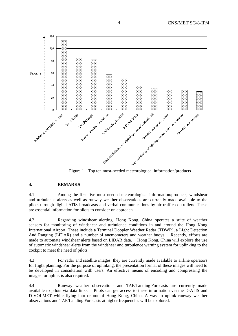

#### **4. REMARKS**

4.1 Among the first five most needed meteorological information/products, windshear and turbulence alerts as well as runway weather observations are currently made available to the pilots through digital ATIS broadcasts and verbal communications by air traffic controllers. These are essential information for pilots to consider on approach.

4.2 Regarding windshear alerting, Hong Kong, China operates a suite of weather sensors for monitoring of windshear and turbulence conditions in and around the Hong Kong International Airport. These include a Terminal Doppler Weather Radar (TDWR), a LIght Detection And Ranging (LIDAR) and a number of anemometers and weather buoys. Recently, efforts are made to automate windshear alerts based on LIDAR data. Hong Kong, China will explore the use of automatic windshear alerts from the windshear and turbulence warning system for uplinking to the cockpit to meet the need of pilots.

4.3 For radar and satellite images, they are currently made available to airline operators for flight planning. For the purpose of uplinking, the presentation format of these images will need to be developed in consultation with users. An effective means of encoding and compressing the images for uplink is also required.

4.4 Runway weather observations and TAF/Landing Forecasts are currently made available to pilots via data links. Pilots can get access to these information via the D-ATIS and D-VOLMET while flying into or out of Hong Kong, China. A way to uplink runway weather observations and TAF/Landing Forecasts at higher frequencies will be explored.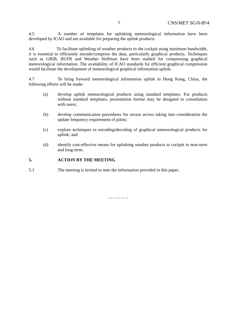4.5 A number of templates for uplinking meteorological information have been developed by ICAO and are available for preparing the uplink products.

4.6 To facilitate uplinking of weather products to the cockpit using minimum bandwidth, it is essential to efficiently encode/compress the data, particularly graphical products. Techniques such as GRIB, BUFR and Weather Huffman have been studied for compressing graphical meteorological information. The availability of ICAO standards for efficient graphical compression would facilitate the development of meteorological graphical information uplink.

4.7 To bring forward meteorological information uplink in Hong Kong, China, the following efforts will be made:

- (a) develop uplink meteorological products using standard templates. For products without standard templates, presentation format may be designed in consultation with users:
- (b) develop communication procedures for secure access taking into consideration the update frequency requirement of pilots;
- (c) explore techniques in encoding/decoding of graphical meteorological products for uplink; and
- (d) identify cost-effective means for uplinking weather products to cockpit in near-term and long-term.

#### **5. ACTION BY THE MEETING**

5.1 The meeting is invited to note the information provided in this paper.

- - - - - - - -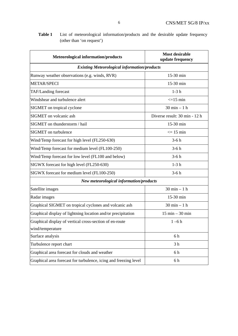| <b>Table 1</b> List of meteorological information/products and the desirable update frequency |  |  |  |
|-----------------------------------------------------------------------------------------------|--|--|--|
| (other than 'on request')                                                                     |  |  |  |

| <b>Meteorological information/products</b>                       | <b>Most desirable</b><br>update frequency |  |  |
|------------------------------------------------------------------|-------------------------------------------|--|--|
| <b>Existing Meteorological information/products</b>              |                                           |  |  |
| Runway weather observations (e.g. winds, RVR)                    | 15-30 min                                 |  |  |
| <b>METAR/SPECI</b>                                               | 15-30 min                                 |  |  |
| TAF/Landing forecast                                             | $1-3h$                                    |  |  |
| Windshear and turbulence alert                                   | $\leq$ =15 min                            |  |  |
| SIGMET on tropical cyclone                                       | $30 \text{ min} - 1 \text{ h}$            |  |  |
| SIGMET on volcanic ash                                           | Diverse result: 30 min - 12 h             |  |  |
| SIGMET on thunderstorm / hail                                    | 15-30 min                                 |  |  |
| <b>SIGMET</b> on turbulence                                      | $\leq$ 15 min                             |  |  |
| Wind/Temp forecast for high level (FL250-630)                    | $3-6h$                                    |  |  |
| Wind/Temp forecast for medium level (FL100-250)                  | $3-6h$                                    |  |  |
| Wind/Temp forecast for low level (FL100 and below)               | $3-6h$                                    |  |  |
| SIGWX forecast for high level (FL250-630)                        | $1-3h$                                    |  |  |
| SIGWX forecast for medium level (FL100-250)                      | $3-6h$                                    |  |  |
| New meteorological information/products                          |                                           |  |  |
| Satellite images                                                 | $30 \text{ min} - 1 \text{ h}$            |  |  |
| Radar images                                                     | 15-30 min                                 |  |  |
| Graphical SIGMET on tropical cyclones and volcanic ash           | $30 \text{ min} - 1 \text{ h}$            |  |  |
| Graphical display of lightning location and/or precipitation     | $15 \text{ min} - 30 \text{ min}$         |  |  |
| Graphical display of vertical cross-section of en-route          | $1 - 6h$                                  |  |  |
| wind/temperature                                                 |                                           |  |  |
| Surface analysis                                                 | 6h                                        |  |  |
| Turbulence report chart                                          | 3 <sub>h</sub>                            |  |  |
| Graphical area forecast for clouds and weather                   | 6 h                                       |  |  |
| Graphical area forecast for turbulence, icing and freezing level | 6 h                                       |  |  |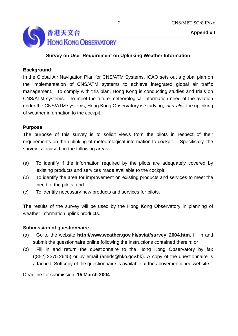



# **Survey on User Requirement on Uplinking Weather Information**

# **Background**

In the Global Air Navigation Plan for CNS/ATM Systems, ICAO sets out a global plan on the implementation of CNS/ATM systems to achieve integrated global air traffic management. To comply with this plan, Hong Kong is conducting studies and trials on CNS/ATM systems. To meet the future meteorological information need of the aviation under the CNS/ATM systems, Hong Kong Observatory is studying, *inter alia*, the uplinking of weather information to the cockpit.

# **Purpose**

The purpose of this survey is to solicit views from the pilots in respect of their requirements on the uplinking of meteorological information to cockpit. Specifically, the survey is focused on the following areas:

- (a) To identify if the information required by the pilots are adequately covered by existing products and services made available to the cockpit;
- (b) To identify the area for improvement on existing products and services to meet the need of the pilots; and
- (c) To identify necessary new products and services for pilots.

The results of the survey will be used by the Hong Kong Observatory in planning of weather information uplink products.

# **Submission of questionnaire**

- (a) Go to the website **http://www.weather.gov.hk/aviat/survey\_2004.htm**, fill in and submit the questionnaire online following the instructions contained therein; or
- (b) Fill in and return the questionnaire to the Hong Kong Observatory by fax ((852) 2375 2645) or by email (amids@hko.gov.hk). A copy of the questionnaire is attached. Softcopy of the questionnaire is available at the abovementioned website.

Deadline for submission: **15 March 2004**.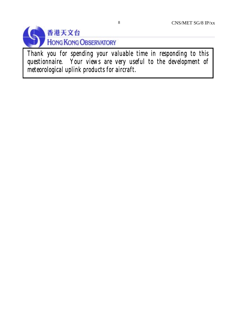

*Thank you for spending your valuable time in responding to this questionnaire. Your views are very useful to the development of meteorological uplink products for aircraft.*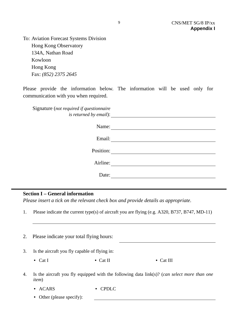To: Aviation Forecast Systems Division Hong Kong Observatory 134A, Nathan Road Kowloon Hong Kong Fax: *(852) 2375 2645*

Please provide the information below. The information will be used only for communication with you when required.

| Signature (not required if questionnaire<br><i>is returned by email):</i> |
|---------------------------------------------------------------------------|
| Name:                                                                     |
| Email:                                                                    |
| Position:                                                                 |
| Airline:                                                                  |
| Date:                                                                     |
|                                                                           |

# **Section I – General information**

*Please insert a tick on the relevant check box and provide details as appropriate.* 

1. Please indicate the current type(s) of aircraft you are flying (e.g. A320, B737, B747, MD-11)

| 2. | Please indicate your total flying hours:                                                                        |          |           |  |
|----|-----------------------------------------------------------------------------------------------------------------|----------|-----------|--|
| 3. | Is the aircraft you fly capable of flying in:                                                                   |          |           |  |
|    | • Cat I                                                                                                         | • Cat II | • Cat III |  |
| 4. | Is the aircraft you fly equipped with the following data $link(s)$ ? (can select more than one<br><i>item</i> ) |          |           |  |
|    | <b>ACARS</b><br>$\bullet$                                                                                       | PDLC.    |           |  |

• Other (please specify):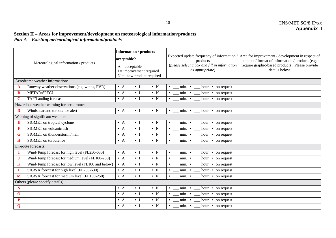#### **Section II – Areas for improvement/development on meteorological information/products**  *Part A Existing meteorological information/products*

| Meteorological information / products |                                                    | <b>Information / products</b><br>acceptable?<br>$A = acceptable$<br>$I =$ improvement required<br>$N =$ new product required | Expected update frequency of information /<br>Area for improvement / development in respect of<br>content / format of information / product. (e.g.<br>products<br>require graphic-based products). Please provide<br>(please select a box and fill in information<br>details below.<br>as appropriate) |  |  |
|---------------------------------------|----------------------------------------------------|------------------------------------------------------------------------------------------------------------------------------|--------------------------------------------------------------------------------------------------------------------------------------------------------------------------------------------------------------------------------------------------------------------------------------------------------|--|--|
| Aerodrome weather information:        |                                                    |                                                                                                                              |                                                                                                                                                                                                                                                                                                        |  |  |
| $\mathbf{A}$                          | Runway weather observations (e.g. winds, RVR)      | $\bullet$ A<br>$\cdot$ I<br>$\bullet$ N                                                                                      | $\bullet$ __ min. $\bullet$ __ hour $\bullet$ on request                                                                                                                                                                                                                                               |  |  |
| B                                     | <b>METAR/SPECI</b>                                 | $\bullet$ I<br>$\bullet$ A<br>$\bullet$ N                                                                                    | $\bullet$ __ min. $\bullet$ __ hour $\bullet$ on request                                                                                                                                                                                                                                               |  |  |
| $\mathbf C$                           | TAF/Landing forecast                               | $\bullet$ I<br>$\bullet$ N<br>$\bullet$ A                                                                                    | $\cdot$ _ min. $\cdot$ _ hour $\cdot$ on request                                                                                                                                                                                                                                                       |  |  |
|                                       | Hazardous weather warning for aerodrome:           |                                                                                                                              |                                                                                                                                                                                                                                                                                                        |  |  |
| D                                     | Windshear and turbulence alert                     | $\cdot$ I<br>$\bullet$ N<br>$\bullet$ A                                                                                      | $\cdot$ _ min. $\cdot$ _ hour $\cdot$ on request                                                                                                                                                                                                                                                       |  |  |
|                                       | Warning of significant weather:                    |                                                                                                                              |                                                                                                                                                                                                                                                                                                        |  |  |
| E                                     | SIGMET on tropical cyclone                         | $\bullet$ A<br>$\bullet$ I<br>$\bullet$ N                                                                                    | $\cdot$ _ min. $\cdot$ _ hour $\cdot$ on request                                                                                                                                                                                                                                                       |  |  |
| F                                     | SIGMET on volcanic ash                             | $\bullet$ N<br>$\bullet$ I<br>$\bullet$ A                                                                                    | $\bullet$ __ min. $\bullet$ __ hour $\bullet$ on request                                                                                                                                                                                                                                               |  |  |
| $\mathbf G$                           | SIGMET on thunderstorm / hail                      | $\bullet$ I<br>$\bullet$ A<br>$\bullet$ N                                                                                    | $\bullet$ __ min. $\bullet$ __ hour $\bullet$ on request                                                                                                                                                                                                                                               |  |  |
| H                                     | SIGMET on turbulence                               | $\bullet$ I<br>$\bullet$ N<br>$\bullet$ A                                                                                    | $\bullet$ __ min. $\bullet$ __ hour $\bullet$ on request                                                                                                                                                                                                                                               |  |  |
| En-route forecasts:                   |                                                    |                                                                                                                              |                                                                                                                                                                                                                                                                                                        |  |  |
| 1                                     | Wind/Temp forecast for high level (FL250-630)      | $\bullet$ A<br>$\cdot$ I<br>$\bullet$ N                                                                                      | $\bullet$ __ min. $\bullet$ __ hour $\bullet$ on request                                                                                                                                                                                                                                               |  |  |
| $\mathbf{J}$                          | Wind/Temp forecast for medium level (FL100-250)    | $\bullet$ A<br>$\cdot$ I<br>$\bullet$ N                                                                                      | $\bullet$ __ min. $\bullet$ __ hour $\bullet$ on request                                                                                                                                                                                                                                               |  |  |
| $\mathbf K$                           | Wind/Temp forecast for low level (FL100 and below) | $\bullet$ A<br>$\cdot$ I<br>$\bullet$ N                                                                                      | $\bullet$ __ min. $\bullet$ __ hour $\bullet$ on request                                                                                                                                                                                                                                               |  |  |
| L                                     | SIGWX forecast for high level (FL250-630)          | $\bullet$ I<br>$\bullet$ N<br>$\bullet$ A                                                                                    | $\cdot$ _ min. $\cdot$ _ hour $\cdot$ on request                                                                                                                                                                                                                                                       |  |  |
| M                                     | SIGWX forecast for medium level (FL100-250)        | $\bullet$ I<br>$\bullet$ N<br>$\bullet$ A                                                                                    | $\bullet$ __ min. $\bullet$ __ hour $\bullet$ on request                                                                                                                                                                                                                                               |  |  |
|                                       | Others (please specify details):                   |                                                                                                                              |                                                                                                                                                                                                                                                                                                        |  |  |
| N                                     |                                                    | $\bullet$ I<br>$\bullet$ N<br>$\bullet$ A                                                                                    | $\bullet$ __ min. $\bullet$ __ hour $\bullet$ on request                                                                                                                                                                                                                                               |  |  |
| $\mathbf 0$                           |                                                    | $\bullet$ N<br>$\cdot$ I<br>$\bullet$ A                                                                                      | $\bullet$ __ min. $\bullet$ __ hour $\bullet$ on request                                                                                                                                                                                                                                               |  |  |
| P                                     |                                                    | $\bullet$ I<br>$\bullet$ N<br>$\bullet$ A                                                                                    | $min.$ $\bullet$<br>$hour \cdot on request$                                                                                                                                                                                                                                                            |  |  |
| Q                                     |                                                    | $\cdot$ I<br>$\bullet$ N<br>$\bullet$ A                                                                                      | $\bullet$ __ min. $\bullet$ __ hour $\bullet$ on request                                                                                                                                                                                                                                               |  |  |